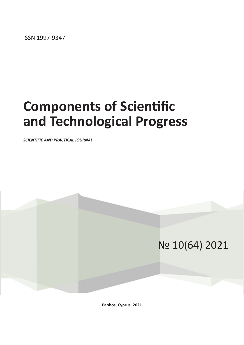ISSN 1997-9347

# **Components of Scientific and Technological Progress**

*SCIENTIFIC AND PRACTICAL JOURNAL*

## № 10(64) 2021

**Paphos, Cyprus, 2021**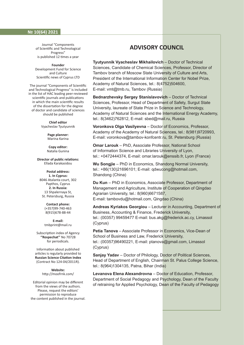#### **№ 10(64) 2021**

Journal "Components of Scientific and Technological Progress" is published 12 times a year

**Founder** Development Fund for Science and Culture Scientific news of Cyprus LTD

The journal "Components of Scientific and Technological Progress" is included in the list of HAC leading peer-reviewed scientific journals and publications in which the main scientific results of the dissertation for the degree of doctor and candidate of sciences should be published

> **Chief editor** Vyacheslav Tyutyunnik

> > **Page planner:** Marina Karina

**Copy editor:** Natalia Gunina

**Director of public relations:** Ellada Karakasidou

**Postal address: 1. In Cyprus:** 8046 Atalanta court, 302 Papthos, Cyprus **2. In Russia:** 13 Shpalernaya St,

St. Petersburg, Russia

**Contact phone:** (+357)99-740-463 8(915)678-88-44

**E-mail:** tmbprint@mail.ru

Subscription index of Agency **''Rospechat''** No 70728 for periodicals.

Information about published articles is regularly provided to **Russian Science Citation Index** (Contract No 124-04/2011R).

> **Website:** http://moofrnk.com/

Editorial opinion may be different from the views of the authors. Please, request the editors' permission to reproduce the content published in the journal.

### **ADVISORY COUNCIL**

**Tyutyunnik Vyacheslav Mikhailovich** – Doctor of Technical Sciences, Candidate of Chemical Sciences, Professor, Director of Tambov branch of Moscow State University of Culture and Arts, President of the International Information Center for Nobel Prize, Academy of Natural Sciences, tel.: 8(4752)504600, E-mail: vmt@tmb.ru, Tambov (Russia)

**Bednarzhevsky Sergey Stanislavovich** – Doctor of Technical Sciences, Professor, Head of Department of Safety, Surgut State University, laureate of State Prize in Science and Technology, Academy of Natural Sciences and the International Energy Academy, tel.: 8(3462)762812, E-mail: sbed@mail.ru, Russia

**Voronkova Olga Vasilyevna** – Doctor of Economics, Professor, Academy of the Academy of Natural Sciences, tel.: 8(981)9720993, E-mail: voronkova@tambov-konfcentr.ru, St. Petersburg (Russia)

**Omar Larouk** – PhD, Associate Professor, National School of Information Science and Libraries University of Lyon, tel.: +0472444374, E-mail: omar.larouk@enssib.fr, Lyon (France)

**Wu Songjie** – PhD in Economics, Shandong Normal University, tel.: +86(130)21696101; E-mail: qdwucong@hotmail.com, Shandong (China)

**Du Kun** – PhD in Economics, Associate Professor, Department of Management and Agriculture, Institute of Cooperation of Qingdao Agrarian University, tel.: 8(960)6671587, E-mail: tambovdu@hotmail.com, Qingdao (China)

**Andreas Kyriakos Georgiou** – Lecturer in Accounting, Department of Business, Accounting & Finance, Frederick University, tel.: (00357) 99459477 E-mail: bus.akg@frederick.ac.cy, Limassol (Cyprus)

**Petia Tanova** – Associate Professor in Economics, Vice-Dean of School of Business and Law, Frederick University,

tel.: (00357)96490221, E-mail: ptanova@gmail.com, Limassol (Cyprus)

**Sanjay Yadav** – Doctor of Philology, Doctor of Political Sciences, Head of Department of English, Chairman St. Palus College Science, tel.: 8(964)1304135, Patna, Bihar (India)

**Levanova Elena Alexandrovna** – Doctor of Education, Professor, Department of Social Pedagogy and Psychology, Dean of the Faculty of retraining for Applied Psychology, Dean of the Faculty of Pedagogy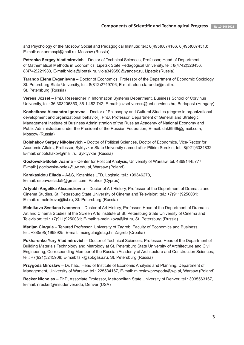and Psychology of the Moscow Social and Pedagogical Institute; tel.: 8(495)6074186, 8(495)6074513; E-mail: dekanmospi@mail.ru, Moscow (Russia)

**Petrenko Sergey Vladimirovich** – Doctor of Technical Sciences, Professor, Head of Department of Mathematical Methods in Economics, Lipetsk State Pedagogical University, tel.: 8(4742)328436, 8(4742)221983, E-mail: viola@lipetsk.ru, viola349650@yandex.ru, Lipetsk (Russia)

**Tarando Elena Evgenievna** – Doctor of Economics, Professor of the Department of Economic Sociology, St. Petersburg State University, tel.: 8(812)2749706, E-mail: elena.tarando@mail.ru, St. Petersburg (Russia)

**Veress József** – PhD, Researcher in Information Systems Department, Business School of Corvinus University, tel.: 36 303206350, 36 1 482 742; E-mail: jozsef.veress@uni-corvinus.hu, Budapest (Hungary)

**Kochetkova Alexandra Igorevna** – Doctor of Philosophy and Cultural Studies (degree in organizational development and organizational behavior), PhD, Professor, Department of General and Strategic Management Institute of Business Administration of the Russian Academy of National Economy and Public Administration under the President of the Russian Federation, E-mail: dak6966@gmail.com, Moscow (Russia)

**Bolshakov Sergey Nikolaevich** – Doctor of Political Sciences, Doctor of Economics, Vice-Rector for Academic Affairs, Professor, Syktyvkar State University named after Pitirim Sorokin, tel.: 8(921)6334832, E-mail: snbolshakov@mail.ru, Syktyvkar (Russia)

**Gocłowska-Bolek Joanna** – Center for Political Analysis, University of Warsaw, tel. 48691445777, E-mail: j.goclowska-bolek@uw.edu.pl, Warsaw (Poland)

**Karakasidou Ellada** – A&G, Kotanides LTD, Logistic, tel.: +99346270, E-mail: espavoellada9@gmail.com, Paphos (Cyprus)

**Artyukh Angelika Alexandrovna** – Doctor of Art History, Professor of the Department of Dramatic and Cinema Studies, St. Petersburg State University of Cinema and Television; tel.: +7(911)9250031; E-mail: s-melnikova@list.ru, St. Petersburg (Russia)

**Melnikova Svetlana Ivanovna** – Doctor of Art History, Professor, Head of the Department of Dramatic Art and Cinema Studies at the Screen Arts Institute of St. Petersburg State University of Cinema and Television; tel.: +7(911)9250031; E-mail: s-melnikova@list.ru, St. Petersburg (Russia)

**Marijan Cingula** – Tenured Professor, University of Zagreb, Faculty of Economics and Business, tel.: +385(95)1998925, E-mail: mcingula@efzg.hr, Zagreb (Croatia)

**Pukharenko Yury Vladimirovich** – Doctor of Technical Sciences, Professor, Head of the Department of Building Materials Technology and Metrology at St. Petersburg State University of Architecture and Civil Engineering, Corresponding Member of the Russian Academy of Architecture and Construction Sciences; tel.: +7(921)3245908; E-mail: tsik@spbgasu.ru, St. Petersburg (Russia)

**Przygoda Miroslaw** – Dr. hab., Head of Institute of Economic Analysis and Planning, Department of Management, University of Warsaw, tel.: 225534167, E-mail: miroslawprzygoda@wp.pl, Warsaw (Poland)

**Recker Nicholas** – PhD, Associate Professor, Metropolitan State University of Denver, tel.: 3035563167, E-mail: nrecker@msudenver.edu, Denver (USA)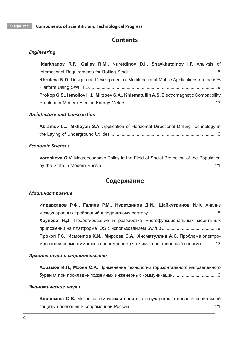## **Contents**

#### *Engineering*

|  |  |  | Ildarkhanov R.F., Galiev R.M., Nuretdinov D.I., Shaykhutdinov I.F. Analysis of            |  |  |
|--|--|--|-------------------------------------------------------------------------------------------|--|--|
|  |  |  |                                                                                           |  |  |
|  |  |  | Khruleva N.D. Design and Development of Multifunctional Mobile Applications on the iOS    |  |  |
|  |  |  |                                                                                           |  |  |
|  |  |  | Prokop G.S., Ismoilov H.I., Mirzoev S.A., Khismatullin A.S. Electromagnetic Compatibility |  |  |
|  |  |  |                                                                                           |  |  |

#### *Architecture and Construction*

| Abramov I.L., Mkhoyan S.A. Application of Horizontal Directional Drilling Technology in |  |  |
|-----------------------------------------------------------------------------------------|--|--|
|                                                                                         |  |  |

#### *Economic Sciences*

**Voronkova O.V.** Macroeconomic Policy in the Field of Social Protection of the Population by the State in Modern Russia.......................................................................................... 21

## **Содержание**

#### *Машиностроение*

**Илдарханов Р.Ф., Галиев Р.М., Нуретдинов Д.И., Шайхутдинов И.Ф.** Анализ международных требований к подвижному составу....................................................... 5 **Хрулева Н.Д.** Проектирование и разработка многофункциональных мобильных приложений на платформе iOS с использованием Swift 3 ............................................ 9 **Прокоп Г.С., Исмоилов Х.И., Мирзоев С.А., Хисматуллин А.С.** Проблема электромагнитной совместимости в современных счетчиках электрической энергии .......... 13

#### *Архитектура и строительство*

**Абрамов И.Л., Мхоян С.А.** Применение технологии горизонтального направленного бурения при прокладке подземных инженерных коммуникаций................................. 16

#### *Экономические науки*

**Воронкова О.В.** Макроэкономическая политика государства в области социальной защиты населения в современной России.................................................................... 21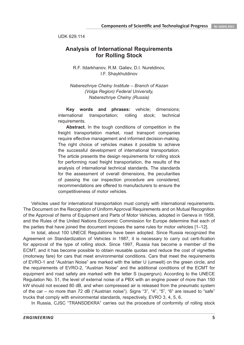UDK 629.114

## **Analysis of International Requirements for Rolling Stock**

R.F. Ildarkhanov, R.M. Galiev, D.I. Nuretdinov, I.F. Shaykhutdinov

*Naberezhnye Chelny Institute – Branch of Kazan (Volga Region) Federal University, Naberezhnye Chelny (Russia)*

**Key words and phrases:** vehicle; dimensions; international transportation; rolling stock; technical requirements.

Abstract. In the tough conditions of competition in the freight transportation market, road transport companies require effective management and informed decision-making. The right choice of vehicles makes it possible to achieve the successful development of international transportation. The article presents the design requirements for rolling stock for performing road freight transportation, the results of the analysis of international technical standards. The standards for the assessment of overall dimensions, the peculiarities of passing the car inspection procedure are considered, recommendations are offered to manufacturers to ensure the competitiveness of motor vehicles.

Vehicles used for international transportation must comply with international requirements. The Document on the Recognition of Uniform Approval Requirements and on Mutual Recognition of the Approval of Items of Equipment and Parts of Motor Vehicles, adopted in Geneva in 1958, and the Rules of the United Nations Economic Commission for Europe determine that each of the parties that have joined the document imposes the same rules for motor vehicles [1–12].

In total, about 100 UNECE Regulations have been adopted. Since Russia recognized the Agreement on Standardization of Vehicles in 1987, it is necessary to carry out certi-fication for approval of the type of rolling stock. Since 1997, Russia has become a member of the ECMT, and it has become possible to obtain reusable quotas and reduce the cost of vignettes (motorway fare) for cars that meet environmental conditions. Cars that meet the requirements of EVRO-1 and "Austrian Noise" are marked with the letter U (umwelt) on the green circle, and the requirements of EVRO-2, "Austrian Noise" and the additional conditions of the ECMT for equipment and road safety are marked with the letter S (supergrun). According to the UNECE Regulation No. 51, the level of external noise of a PBX with an engine power of more than 150 kW should not exceed 80 dB, and when compressed air is released from the pneumatic system of the car – no more than 72 dB ("Austrian noise"). Signs "3", "4", "5", "6" are issued to "safe" trucks that comply with environmental standards, respectively, EVRO 3, 4, 5, 6.

In Russia, CJSC "TRANSDEKRA" carries out the procedure of conformity of rolling stock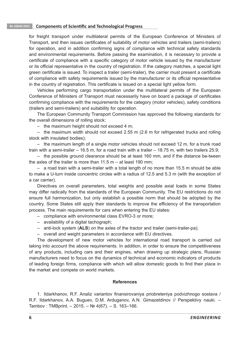#### **№ 10(64) 2021 Components of Scientific and Technological Progress**

for freight transport under multilateral permits of the European Conference of Ministers of Transport, and then issues certificates of suitability of motor vehicles and trailers (semi-trailers) for operation, and in addition confirming signs of compliance with technical safety standards and environmental requirements. Before passing the examination, it is necessary to provide a certificate of compliance with a specific category of motor vehicle issued by the manufacturer or its official representative in the country of registration. If the category matches, a special light green certificate is issued. To inspect a trailer (semi-trailer), the carrier must present a certificate of compliance with safety requirements issued by the manufacturer or its official representative in the country of registration. This certificate is issued on a special light yellow form.

Vehicles performing cargo transportation under the multilateral permits of the European Conference of Ministers of Transport must necessarily have on board a package of certificates confirming compliance with the requirements for the category (motor vehicles), safety conditions (trailers and semi-trailers) and suitability for operation.

The European Community Transport Commission has approved the following standards for the overall dimensions of rolling stock:

– the maximum height should not exceed 4 m;

– the maximum width should not exceed 2.55 m (2.6 m for refrigerated trucks and rolling stock with insulated bodies);

– the maximum length of a single motor vehicles should not exceed 12 m, for a trunk road train with a semi-trailer – 16.5 m, for a road train with a trailer – 18.75 m, with two trailers 25.9;

– the possible ground clearance should be at least 160 mm, and if the distance be-tween the axles of the trailer is more than  $11.5$  m – at least 190 mm;

– a road train with a semi-trailer with a total length of no more than 15.5 m should be able to make a U-turn inside concentric circles with a radius of 12.5 and 5.3 m (with the exception of a car carrier).

Directives on overall parameters, total weights and possible axial loads in some States may differ radically from the standards of the European Community. The EU restrictions do not ensure full harmonization, but only establish a possible norm that should be adopted by the country. Some States still apply their standards to improve the efficiency of the transportation process. The main requirements for cars when entering the EU states:

- compliance with environmental class EVRO-3 or more;
- availability of a digital tachograph;
- anti-lock system (**ALS**) on the axles of the tractor and trailer (semi-trailer-pa);
- overall and weight parameters in accordance with EU directives.

The development of new motor vehicles for international road transport is carried out taking into account the above requirements. In addition, in order to ensure the competitiveness of any products, including cars and their engines, when drawing up strategic plans, Russian manufacturers need to focus on the dynamics of technical and economic indicators of products of leading foreign firms, compliance with which will allow domestic goods to find their place in the market and compete on world markets.

#### **References**

1. Ildarkhanov, R.F. Analiz variantov finansirovaniya priobreteniya podvizhnogo sostava / R.F. Ildarkhanov, A.A. Buguev, D.M. Arduganov, A.N. Gimazetdinov // Perspektivy nauki. – Tambov : TMBprint. – 2015. – № 4(67). – S. 163–166.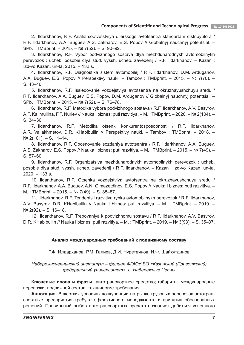2. Ildarkhanov, R.F. Analiz sootvetstviya dilerskogo avtotsentra standartam distribyutora / R.F. Ildarkhanov, A.A. Buguev, A.S. Zakharov, E.S. Popov // Globalnyj nauchnyj potentsial. – SPb. : TMBprint. – 2015. – № 7(52). – S. 90–92.

3. Ildarkhanov, R.F. Vybor podvizhnogo sostava dlya mezhdunarodnykh avtomobilnykh perevozok : ucheb. posobie dlya stud. vyssh. ucheb. zavedenij / R.F. Ildarkhanov. – Kazan : Izd-vo Kazan. un-ta, 2015. – 132 s.

4. Ildarkhanov, R.F. Diagnostika sistem avtomobilej / R.F. Ildarkhanov, D.M. Arduganov, A.A. Buguev, E.S. Popov // Perspektivy nauki. – Tambov : TMBprint. – 2015. – № 7(70). – S. 43–46.

5. Ildarkhanov, R.F. Issledovanie vozdejstviya avtotsentra na okruzhayushchuyu sredu / R.F. Ildarkhanov, A.A. Buguev, E.S. Popov, D.M. Arduganov // Globalnyj nauchnyj potentsial. – SPb. : TMBprint. – 2015. – № 7(52). – S. 76–78.

6. Ildarkhanov, R.F. Metodika vybora podvizhnogo sostava / R.F. Ildarkhanov, A.V. Basyrov, A.F. Kalimullina, F.F. Nuriev // Nauka i biznes: puti razvitiya. – M. : TMBprint. – 2020. – № 2(104). – S. 34–36.

7. Ildarkhanov, R.F. Metodika otsenki konkurentosposobnosti / R.F. Ildarkhanov, A.R. Valiakhmetov, D.R. KHabibullin // Perspektivy nauki. – Tambov : TMBprint. – 2018. – № 2(101). – S. 11–14.

8. Ildarkhanov, R.F. Obosnovanie sozdaniya avtotsentra / R.F. Ildarkhanov, A.A. Buguev, A.S. Zakharov, E.S. Popov // Nauka i biznes: puti razvitiya. – M. : TMBprint. – 2015. – № 7(49). – S. 57–60.

9. Ildarkhanov, R.F. Organizatsiya mezhdunarodnykh avtomobilnykh perevozok : ucheb. posobie dlya stud. vyssh. ucheb. zavedenij / R.F. Ildarkhanov. – Kazan : Izd-vo Kazan. un-ta, 2020. – 133 s.

10. Ildarkhanov, R.F. Otsenka vozdejstviya avtotsentra na okruzhayushchuyu sredu / R.F. Ildarkhanov, A.A. Buguev, A.N. Gimazetdinov, E.S. Popov // Nauka i biznes: puti razvitiya. – M. : TMBprint. – 2015. – № 7(49). – S. 85–87.

11. Ildarkhanov, R.F. Tendentsii razvitiya rynka avtomobilnykh perevozok / R.F. Ildarkhanov, A.V. Basyrov, D.R. KHabibullin // Nauka i biznes: puti razvitiya. – M. : TMBprint. – 2019. –  $N<sup>°</sup>$  2(92). − S. 16–18.

12. Ildarkhanov, R.F. Trebovaniya k podvizhnomu sostavu / R.F. Ildarkhanov, A.V. Basyrov, D.R. KHabibullin // Nauka i biznes: puti razvitiya. – M. : TMBprint. – 2019. – № 3(93). – S. 35–37.

#### **Анализ международных требований к подвижному составу**

Р.Ф. Илдарханов, Р.М. Галиев, Д.И. Нуретдинов, И.Ф. Шайхутдинов

*Набережночелнинский институт – филиал ФГАОУ ВО «Казанский (Приволжский) федеральный университет», г. Набережные Челны*

**Ключевые слова и фразы:** автотранспортное средство; габариты; международные перевозки; подвижной состав; технические требования.

**Аннотация.** В жестких условиях конкуренции на рынке грузовых перевозок автотранспортные предприятия требуют эффективного менеджмента и принятия обоснованных решений. Правильный выбор автотранспортных средств позволяет добиться успешного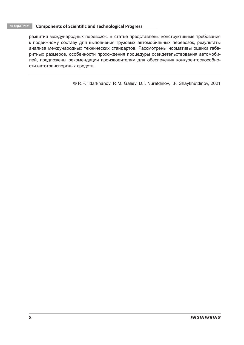#### **№ 10(64) 2021 Components of Scientific and Technological Progress**

развития международных перевозок. В статье представлены конструктивные требования к подвижному составу для выполнения грузовых автомобильных перевозок, результаты анализа международных технических стандартов. Рассмотрены нормативы оценки габаритных размеров, особенности прохождения процедуры освидетельствования автомобилей, предложены рекомендации производителям для обеспечения конкурентоспособности автотранспортных средств.

© R.F. Ildarkhanov, R.M. Galiev, D.I. Nuretdinov, I.F. Shaykhutdinov, 2021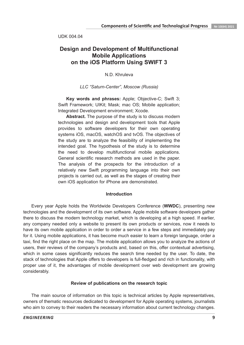UDK 004.04

## **Design and Development of Multifunctional Mobile Applications on the iOS Platform Using SWIFT 3**

N.D. Khruleva

*LLC "Saturn-Center", Moscow (Russia)*

**Key words and phrases:** Apple; Objective-C; Swift 3; Swift Framework; UIKit; Mask; mac OS; Mobile application; Integrated Development environment; Xcode.

**Abstract.** The purpose of the study is to discuss modern technologies and design and development tools that Apple provides to software developers for their own operating systems iOS, macOS, watchOS and tvOS. The objectives of the study are to analyze the feasibility of implementing the intended goal. The hypothesis of the study is to determine the need to develop multifunctional mobile applications. General scientific research methods are used in the paper. The analysis of the prospects for the introduction of a relatively new Swift programming language into their own projects is carried out, as well as the stages of creating their own iOS application for iPhone are demonstrated.

#### **Introduction**

Every year Apple holds the Worldwide Developers Conference (**WWDC**), presenting new technologies and the development of its own software. Apple mobile software developers gather there to discuss the modern technology market, which is developing at a high speed. If earlier, any company needed only a website to present its own products or services, now it needs to have its own mobile application in order to order a service in a few steps and immediately pay for it. Using mobile applications, it has become much easier to learn a foreign language, order a taxi, find the right place on the map. The mobile application allows you to analyze the actions of users, their reviews of the company's products and, based on this, offer contextual advertising, which in some cases significantly reduces the search time needed by the user. To date, the stack of technologies that Apple offers to developers is full-fledged and rich in functionality, with proper use of it, the advantages of mobile development over web development are growing considerably.

#### **Review of publications on the research topic**

The main source of information on this topic is technical articles by Apple representatives, owners of thematic resources dedicated to development for Apple operating systems, journalists who aim to convey to their readers the necessary information about current technology changes.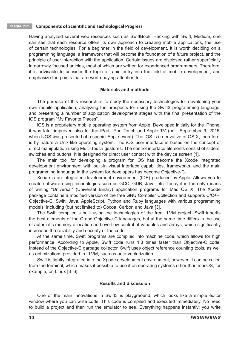#### **№ 10(64) 2021 Components of Scientific and Technological Progress**

Having analyzed several web resources such as SwiftBook, Hacking with Swift, Medium, one can see that each resource offers its own approach to creating mobile applications, the use of certain technologies. For a beginner in the field of development, it is worth deciding on a programming language, a framework that will become the foundation of a future project, and the principle of user interaction with the application. Certain issues are disclosed rather superficially in narrowly focused articles, most of which are written for experienced programmers. Therefore, it is advisable to consider the topic of rapid entry into the field of mobile development, and emphasize the points that are worth paying attention to.

#### **Materials and methods**

The purpose of this research is to study the necessary technologies for developing your own mobile application, analyzing the prospects for using the Swift3 programming language, and presenting a number of application development stages with the final presentation of the iOS program "My Favorite Places".

iOS is a proprietary mobile operating system from Apple. Developed initially for the iPhone, it was later improved also for the iPad, iPod Touch and Apple TV (until September 9, 2015, when tvOS was presented at a special Apple event). The iOS is a derivative of OS X, therefore, is by nature a Unix-like operating system. The iOS user interface is based on the concept of direct manipulation using Multi-Touch gestures. The control interface elements consist of sliders, switches and buttons. It is designed for direct user contact with the device screen [1].

The main tool for developing a program for iOS has become the Xcode integrated development environment with built-in visual interface capabilities, frameworks, and the main programming language in the system for developers has become Objective-C.

Xcode is an integrated development environment (IDE) produced by Apple. Allows you to create software using technologies such as GCC, GDB, Java, etc. Today it is the only means of writing "Universal" (Universal Binary) application programs for Mac OS X. The Xpode package contains a modified version of the free GNU Compiler Collection and supports C/C++, Objective-C, Swift, Java, AppleScript, Python and Ruby languages with various programming models, including (but not limited to) Cocoa, Carbon and Java [3].

The Swift compiler is built using the technologies of the free LLVM project. Swift inherits the best elements of the C and Objective-C languages, but at the same time differs in the use of automatic memory allocation and overflow control of variables and arrays, which significantly increases the reliability and security of the code.

At the same time, Swift programs are compiled into machine code, which allows for high performance. According to Apple, Swift code runs 1.3 times faster than Objective-C code. Instead of the Objective-C garbage collector, Swift uses object reference counting tools, as well as optimizations provided in LLVM, such as auto-vectorization.

Swift is tightly integrated into the Xpode development environment, however, it can be called from the terminal, which makes it possible to use it on operating systems other than macOS, for example, on Linux [3–6].

#### **Results and discussion**

One of the main innovations in Swift3 is playgraound, which looks like a simple editor window where you can write code. This code is compiled and executed immediately. No need to build a project and then run the emulator to see. Everything happens instantly: you write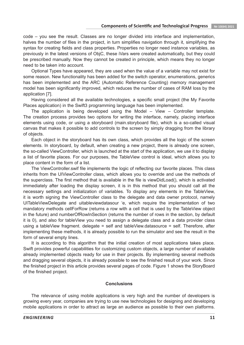code – you see the result. Classes are no longer divided into interface and implementation, halves the number of files in the project, in turn simplifies navigation through it, simplifying the syntax for creating fields and class properties. Properties no longer need instance variables, as previously in the latest versions of ObjC, these iVars were created automatically, but they could be prescribed manually. Now they cannot be created in principle, which means they no longer need to be taken into account.

Optional Types have appeared, they are used when the value of a variable may not exist for some reason. New functionality has been added for the switch operator, enumerations, generics has been implemented and the ARC (Automatic Reference Counting) memory management model has been significantly improved, which reduces the number of cases of RAM loss by the application [7].

Having considered all the available technologies, a specific small project (the My Favorite Places application) in the Swift3 programming language has been implemented.

The application is being developed using the Model – View – Controller template. The creation process provides two options for writing the interface, namely, placing interface elements using code, or using a storyboard (main.storyboard file), which is a so-called visual canvas that makes it possible to add controls to the screen by simply dragging from the library of objects.

Each object in the storyboard has its own class, which provides all the logic of the screen elements. In storyboard, by default, when creating a new project, there is already one screen, the so-called ViewController, which is launched at the start of the application, we use it to display a list of favorite places. For our purposes, the TableView control is ideal, which allows you to place content in the form of a list.

The ViewController.swif file implements the logic of reflecting our favorite places. This class inherits from the UIViewController class, which allows you to override and use the methods of the superclass. The first method that is available in the file is viewDidLoad(), which is activated immediately after loading the display screen, it is in this method that you should call all the necessary settings and initialization of variables. To display any elements in the TableView, it is worth signing the ViewController class to the delegate and data owner protocol, namely UITableViewDelegate and uitableviewdatasour 'e, which require the implementation of two mandatory methods cellForRow (returns a row with a cell that is used by the TableView object in the future) and numberOfRowInSection (returns the number of rows in the section, by default it is 0), and also for tableView you need to assign a delegate class and a data provider class using a tableView fragment. delegate = self and tableView.datasource = self. Therefore, after implementing these methods, it is already possible to run the simulator and see the result in the form of several empty lines.

It is according to this algorithm that the initial creation of most applications takes place. Swift provides powerful capabilities for customizing custom objects, a large number of available already implemented objects ready for use in their projects. By implementing several methods and dragging several objects, it is already possible to see the finished result of your work. Since the finished project in this article provides several pages of code. Figure 1 shows the StoryBoard of the finished project.

#### **Conclusions**

The relevance of using mobile applications is very high and the number of developers is growing every year, companies are trying to use new technologies for designing and developing mobile applications in order to attract as large an audience as possible to their own platforms.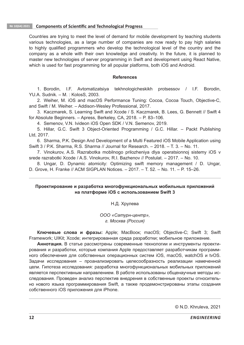#### **№ 10(64) 2021 Components of Scientific and Technological Progress**

Countries are trying to meet the level of demand for mobile development by teaching students various technologies, as a large number of companies are now ready to pay high salaries to highly qualified programmers who develop the technological level of the country and the company as a whole with their own knowledge and creativity. In the future, it is planned to master new technologies of server programming in Swift and development using React Native, which is used for fast programming for all popular platforms, both iOS and Android.

#### **References**

1. Borodin, I.F. Avtomatizatsiya tekhnologicheskikh protsessov / I.F. Borodin, YU.A. Sudnik. – M. : KolosS, 2003.

2. Weiher, M. iOS and macOS Performance Tuning: Cocoa, Cocoa Touch, Objective-C, and Swift / M. Weiher. – Addison-Wesley Professional, 2017.

3. Kaczmarek, S. Learning Swift and Xcode / S. Kaczmarek, B. Lees, G. Bennett // Swift 4 for Absolute Beginners. – Apress, Berkeley, CA, 2018. – P. 83–106.

4. Semenov, V.N. Ivideon iOS Open SDK / V.N. Semenov, 2019.

5. Hillar, G.C. Swift 3 Object-Oriented Programming / G.C. Hillar. – Packt Publishing Ltd, 2017.

6. Sharma, P.K. Design And Development of a Multi Featured iOS Mobile Application using Swift 3 / P.K. Sharma, R.S. Sharma // Journal for Research. – 2018. – T. 3. – No. 11.

7. Vinokurov, A.S. Razrabotka mobilnogo prilozheniya dlya operatsionnoj sistemy iOS v srede razrabotki Xcode / A.S. Vinokurov, R.I. Bazhenov // Postulat. – 2017. – No. 10.

8. Ungar, D. Dynamic atomicity: Optimizing swift memory management / D. Ungar, D. Grove, H. Franke // ACM SIGPLAN Notices. – 2017. – T. 52. – No. 11. – P. 15–26.

#### **Проектирование и разработка многофункциональных мобильных приложений на платформе iOS с использованием Swift 3**

Н.Д. Хрулева

*ООО «Сатурн-центр», г. Москва (Россия)*

**Ключевые слова и фразы:** Apple; МасВоок; macOS; Objective-C; Swift 3; Swift Framework; UIKit; Хcode; интегрированная среда разработки; мобильное приложение.

**Аннотация.** В статье рассмотрены современные технологии и инструменты проектирования и разработки, которые компания Apple предоставляет разработчикам программного обеспечения для собственных операционных систем iOS, macOS, watchOS и tvOS. Задачи исследования – проанализировать целесообразность реализации намеченной цели. Гипотеза исследования: разработка многофункциональных мобильных приложений является перспективным направлением. В работе использованы общенаучные методы исследования. Проведен анализ перспектив внедрения в собственные проекты относительно нового языка программирования Swift, а также продемонстрированы этапы создания собственного iOS приложения для iPhone.

© N.D. Khruleva, 2021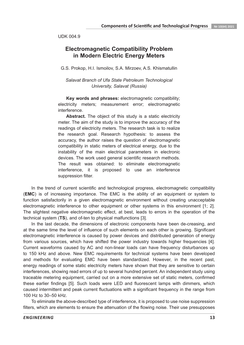UDK 004.9

## **Electromagnetic Compatibility Problem in Modern Electric Energy Meters**

G.S. Prokop, H.I. Ismoilov, S.A. Mirzoev, A.S. Khismatullin

*Salavat Branch of Ufa State Petroleum Technological University, Salavat (Russia)*

**Key words and phrases:** electromagnetic compatibility; electricity meters; measurement error; electromagnetic interference.

**Abstract.** The object of this study is a static electricity meter. The aim of the study is to improve the accuracy of the readings of electricity meters. The research task is to realize the research goal. Research hypothesis: to assess the accuracy, the author raises the question of electromagnetic compatibility in static meters of electrical energy, due to the instability of the main electrical parameters in electronic devices. The work used general scientific research methods. The result was obtained: to eliminate electromagnetic interference, it is proposed to use an interference suppression filter.

In the trend of current scientific and technological progress, electromagnetic compatibility (**EMC**) is of increasing importance. The EMC is the ability of an equipment or system to function satisfactorily in a given electromagnetic environment without creating unacceptable electromagnetic interference to other equipment or other systems in this environment [1; 2]. The slightest negative electromagnetic effect, at best, leads to errors in the operation of the technical system (**TS**), and of-ten to physical malfunctions [3].

In the last decade, the dimensions of electronic components have been de-creasing, and at the same time the level of influence of such elements on each other is growing. Significant electromagnetic interference is caused by power devices and distributed generation of energy from various sources, which have shifted the power industry towards higher frequencies [4]. Current waveforms caused by AC and non-linear loads can have frequency disturbances up to 150 kHz and above. New EMC requirements for technical systems have been developed and methods for evaluating EMC have been standardized. However, in the recent past, energy readings of some static electricity meters have shown that they are sensitive to certain interferences, showing read errors of up to several hundred percent. An independent study using traceable metering equipment, carried out on a more extensive set of static meters, confirmed these earlier findings [5]. Such loads were LED and fluorescent lamps with dimmers, which caused intermittent and peak current fluctuations with a significant frequency in the range from 100 Hz to 30–50 kHz.

To eliminate the above-described type of interference, it is proposed to use noise suppression filters, which are elements to ensure the attenuation of the flowing noise. Their use presupposes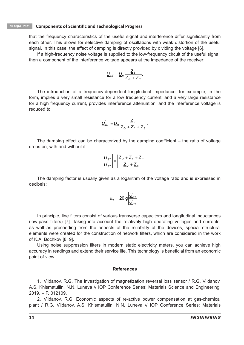that the frequency characteristics of the useful signal and interference differ significantly from each other. This allows for selective damping of oscillations with weak distortion of the useful signal. In this case, the effect of damping is directly provided by dividing the voltage [6].

If a high-frequency noise voltage is supplied to the low-frequency circuit of the useful signal, then a component of the interference voltage appears at the impedance of the receiver:

$$
\underline{U}_{s\tau} = \underline{U}_0 \, \frac{\underline{Z}_s}{\underline{Z}_\text{Q} + \underline{Z}_s}.
$$

The introduction of a frequency-dependent longitudinal impedance, for ex-ample, in the form, implies a very small resistance for a low frequency current, and a very large resistance for a high frequency current, provides interference attenuation, and the interference voltage is reduced to:

$$
\underline{U}_{s\tau} = \underline{U}_0 \, \frac{\underline{Z}_s}{\underline{Z}_\text{Q} + \underline{Z}_\text{L} + \underline{Z}_s}.
$$

The damping effect can be characterized by the damping coefficient – the ratio of voltage drops on, with and without it:

$$
\left|\frac{\underline{U}_{ST}}{\underline{U}'_{ST}}\right| = \left|\frac{\underline{Z}_Q + \underline{Z}_L + \underline{Z}_S}{\underline{Z}_Q + \underline{Z}_S}\right|.
$$

The damping factor is usually given as a logarithm of the voltage ratio and is expressed in decibels:

$$
\alpha_{\rm e}=20\text{lg}\left|\frac{\underline{U}_{\rm ST}}{\underline{U}_{\rm ST}}\right|.
$$

In principle, line filters consist of various transverse capacitors and longitudinal inductances (low-pass filters) [7]. Taking into account the relatively high operating voltages and currents, as well as proceeding from the aspects of the reliability of the devices, special structural elements were created for the construction of network filters, which are considered in the work of K.A. Bochkov [8; 9].

Using noise suppression filters in modern static electricity meters, you can achieve high accuracy in readings and extend their service life. This technology is beneficial from an economic point of view.

#### **References**

1. Vildanov, R.G. The investigation of magnetization reversal loss sensor / R.G. Vildanov, A.S. Khismatullin, N.N. Luneva // IOP Conference Series: Materials Science and Engineering, 2019. – P. 012109.

2. Vildanov, R.G. Economic aspects of re-active power compensation at gas-chemical plant / R.G. Vildanov, A.S. Khismatullin, N.N. Luneva // IOP Conference Series: Materials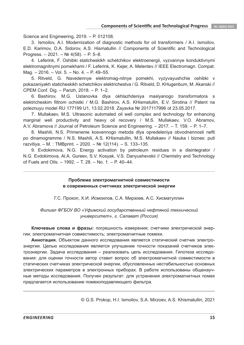Science and Engineering, 2019. – P. 012108.

3. Ismoilov, A.I. Modernization of diagnostic methods for oil transformers / A.I. Ismoilov, E.D. Karimov, D.A. Sidorov, A.S. Hismatullin // Components of Scientific and Technological Progress. – 2021. – № 4(58). – P. 5–8.

4. Leferink, F. Oshibki staticheskikh schetchikov elektroenergii, vyzvannye konduktivnymi elektromagnitnymi pomekhami / F. Leferink, K. Kejer, A. Melentev // IEEE Electromagn. Compat. Mag. – 2016. – Vol. 5. – No. 4. – P. 49–55.

5. Ritveld, G. Navedennye elektromag-nitnye pomekhi, vyzyvayushchie oshibki v pokazaniyakh staticheskikh schetchikov elektrichestva / G. Ritveld, D. KHugenbum, M. Akanski // CPEM Conf. Dig. – Parizh, 2018. – P. 1–2.

6. Bashirov, M.G. Ustanovka dlya okhlazhdeniya maslyanogo transformatora s elektricheskim filtrom ochistki / M.G. Bashirov, A.S. KHismatullin, E.V. Sirotina // Patent na poleznuyu model RU 177199 U1, 13.02.2018. Zayavka № 2017117996 ot 23.05.2017.

7. Mullakaev, M.S. Ultrasonic automated oil well complex and technology for enhancing marginal well productivity and heavy oil recovery / M.S. Mullakaev, V.O. Abramov, A.V. Abramova // Journal of Petroleum Science and Engineering. – 2017. – T. 159. – P. 1–7.

8. Mashili, N.S. Primenenie kosvennogo metoda dlya opredeleniya obvodnennosti nefti po dinamogramme / N.S. Mashili, A.S. KHismatullin, M.S. Mullakaev // Nauka i biznes: puti razvitiya. – M. : TMBprint. – 2020. – № 12(114). – S. 133–135.

9. Evdokimova, N.G. Energy activation by petroleum residues in a disintegrator / N.G. Evdokimova, Al.A. Gureev, S.V. Kosyak, V.S. Danyushevskii // Chemistry and Technology of Fuels and Oils. – 1992. – Т. 28. – No. 1. – P. 40–44.

> **Проблема электромагнитной совместимости в современных счетчиках электрической энергии**

Г.С. Прокоп, Х.И. Исмоилов, С.А. Мирзоев, А.С. Хисматуллин

*Филиал ФГБОУ ВО «Уфимский государственный нефтяной технический университет», г. Салават (Россия)*

**Ключевые слова и фразы:** погрешность измерения; счетчики электрической энергии; электромагнитная совместимость; электромагнитные помехи.

**Аннотация.** Объектом данного исследования является статический счетчик электроэнергии. Целью исследования является улучшение точности показаний счетчиков электроэнергии. Задача исследования – реализовать цель исследования. Гипотеза исследования: для оценки точности автор ставит вопрос об электромагнитной совместимости в статических счетчиках электрической энергии, обусловленных нестабильностью основных электрических параметров в электронных приборах. В работе использованы общенаучные методы исследования. Получен результат: для устранения электромагнитных помех предлагается использование помехоподавляющего фильтра.

© G.S. Prokop, H.I. Ismoilov, S.A. Mirzoev, A.S. Khismatullin, 2021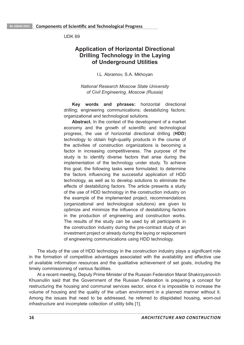UDK 69

## **Application of Horizontal Directional Drilling Technology in the Laying of Underground Utilities**

I.L. Abramov, S.A. Mkhoyan

*National Research Moscow State University of Civil Engineering, Moscow (Russia)*

**Key words and phrases:** horizontal directional drilling; engineering communications; destabilizing factors; organizational and technological solutions.

**Abstract.** In the context of the development of a market economy and the growth of scientific and technological progress, the use of horizontal directional drilling (**HDD**) technology to obtain high-quality products in the course of the activities of construction organizations is becoming a factor in increasing competitiveness. The purpose of the study is to identify diverse factors that arise during the implementation of the technology under study. To achieve this goal, the following tasks were formulated: to determine the factors influencing the successful application of HDD technology, as well as to develop solutions to eliminate the effects of destabilizing factors. The article presents a study of the use of HDD technology in the construction industry on the example of the implemented project, recommendations (organizational and technological solutions) are given to optimize and minimize the influence of destabilizing factors in the production of engineering and construction works. The results of the study can be used by all participants in the construction industry during the pre-contract study of an investment project or already during the laying or replacement of engineering communications using HDD technology.

The study of the use of HDD technology in the construction industry plays a significant role in the formation of competitive advantages associated with the availability and effective use of available information resources and the qualitative achievement of set goals, including the timely commissioning of various facilities.

At a recent meeting, Deputy Prime Minister of the Russian Federation Marat Shakirzyanovich Khusnullin said that the Government of the Russian Federation is preparing a concept for restructuring the housing and communal services sector, since it is impossible to increase the volume of housing and the quality of the urban environment in a planned manner without it. Among the issues that need to be addressed, he referred to dilapidated housing, worn-out infrastructure and incomplete collection of utility bills [1].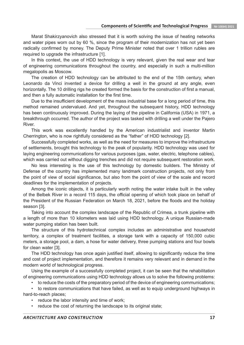Marat Shakirzyanovich also stressed that it is worth solving the issue of heating networks and water pipes worn out by 60 %, since the program of their modernization has not yet been radically confirmed by money. The Deputy Prime Minister noted that over 1 trillion rubles are required to upgrade the infrastructure [1].

In this context, the use of HDD technology is very relevant, given the real wear and tear of engineering communications throughout the country, and especially in such a multi-million megalopolis as Moscow.

The creation of HDD technology can be attributed to the end of the 15th century, when Leonardo da Vinci invented a device for drilling a well in the ground at any angle, even horizontally. The 10 drilling rigs he created formed the basis for the construction of first a manual, and then a fully automatic installation for the first time.

Due to the insufficient development of the mass industrial base for a long period of time, this method remained undervalued. And yet, throughout the subsequent history, HDD technology has been continuously improved. During the laying of the pipeline in California (USA) in 1971, a breakthrough occurred. The author of the project was tasked with drilling a well under the Pajero River.

This work was excellently handled by the American industrialist and inventor Martin Cherrington, who is now rightfully considered as the "father" of HDD technology [2].

Successfully completed works, as well as the need for measures to improve the infrastructure of settlements, brought this technology to the peak of popularity. HDD technology was used for laying engineering communications for various purposes (gas, water, electric, telephone cables), which was carried out without digging trenches and did not require subsequent restoration work.

No less interesting is the use of this technology by domestic builders. The Ministry of Defense of the country has implemented many landmark construction projects, not only from the point of view of social significance, but also from the point of view of the scale and record deadlines for the implementation of projects.

Among the iconic objects, it is particularly worth noting the water intake built in the valley of the Belbek River in a record 115 days, the official opening of which took place on behalf of the President of the Russian Federation on March 18, 2021, before the floods and the holiday season [3].

Taking into account the complex landscape of the Republic of Crimea, a trunk pipeline with a length of more than 10 kilometers was laid using HDD technology. A unique Russian-made water pumping station has been built.

The structure of this hydrotechnical complex includes an administrative and household territory, a complex of treatment facilities, a storage tank with a capacity of 150,000 cubic meters, a storage pool, a dam, a hose for water delivery, three pumping stations and four bowls for clean water [3].

The HDD technology has once again justified itself, allowing to significantly reduce the time and cost of project implementation, and therefore it remains very relevant and in demand in the modern world of technological progress.

Using the example of a successfully completed project, it can be seen that the rehabilitation of engineering communications using HDD technology allows us to solve the following problems:

• to reduce the costs of the preparatory period of the device of engineering communications;

• to restore communications that have failed, as well as to equip underground highways in hard-to-reach places;

- reduce the labor intensity and time of work;
- reduce the cost of returning the landscape to its original state;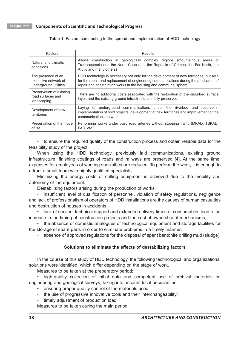**Table 1.** Factors contributing to the spread and implementation of HDD technology

| Factors                                                             | Results                                                                                                                                                                                                                                            |
|---------------------------------------------------------------------|----------------------------------------------------------------------------------------------------------------------------------------------------------------------------------------------------------------------------------------------------|
| Natural and climatic<br>conditions                                  | Allows construction in geologically complex regions (mountainous areas of<br>Transcaucasia and the North Caucasus, the Republic of Crimea, the Far North, the<br>Arctic and many others)                                                           |
| The presence of an<br>extensive network of<br>underground utilities | HDD technology is necessary not only for the development of new territories, but also<br>for the repair and replacement of engineering communications during the production of<br>repair and construction works in the housing and communal sphere |
| Preservation of existing<br>road surfaces and<br>landscaping        | There are no additional costs associated with the restoration of the disturbed surface<br>layer, and the existing ground infrastructure is fully preserved                                                                                         |
| Development of new<br>territories                                   | Laying of underground communications under the riverbed and reservoirs,<br>implementation of bold projects, development of new territories and improvement of the<br>communications network                                                        |
| Preservation of the mode<br>of life                                 | Performing works under busy road arteries without stopping traffic (MKAD, TSKAD,<br>FAD, etc.)                                                                                                                                                     |

• to ensure the required quality of the construction process and obtain reliable data for the feasibility study of the project.

When using the HDD technology, previously laid communications, existing ground infrastructure, finishing coatings of roads and railways are preserved [4]. At the same time, expenses for employees of working specialties are reduced. To perform the work, it is enough to attract a small team with highly qualified specialists.

Minimizing the energy costs of drilling equipment is achieved due to the mobility and autonomy of the equipment.

Destabilizing factors arising during the production of works:

• insufficient level of qualification of personnel, violation of safety regulations, negligence and lack of professionalism of operators of HDD installations are the causes of human casualties and destruction of houses in accidents;

• lack of service, technical support and extended delivery times of consumables lead to an increase in the timing of construction projects and the cost of ownership of mechanisms;

• the absence of domestic analogues of technological equipment and storage facilities for the storage of spare parts in order to eliminate problems in a timely manner;

• absence of approved regulations for the disposal of spent bentonite drilling mud (sludge).

#### **Solutions to eliminate the effects of destabilizing factors**

In the course of this study of HDD technology, the following technological and organizational solutions were identified, which differ depending on the stage of work.

Measures to be taken at the preparatory period:

• high-quality collection of initial data and competent use of archival materials on engineering and geological surveys, taking into account local peculiarities;

- ensuring proper quality control of the materials used;
- the use of progressive innovative tools and their interchangeability;
- timely adjustment of production load.

Measures to be taken during the main period: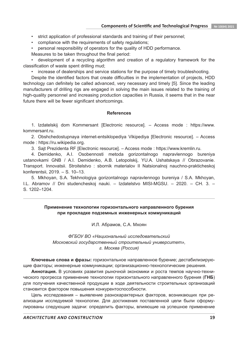- strict application of professional standards and training of their personnel;
- compliance with the requirements of safety regulations;
- personal responsibility of operators for the quality of HDD performance.

Measures to be taken throughout the final period:

• development of a recycling algorithm and creation of a regulatory framework for the classification of waste spent drilling mud;

• increase of dealerships and service stations for the purpose of timely troubleshooting.

Despite the identified factors that create difficulties in the implementation of projects, HDD technology can definitely be called advanced, very necessary and timely [5]. Since the leading manufacturers of drilling rigs are engaged in solving the main issues related to the training of high-quality personnel and increasing production capacities in Russia, it seems that in the near future there will be fewer significant shortcomings.

#### **References**

1. Izdatelskij dom Kommersant [Electronic resource]. – Access mode : https://www. kommersant.ru.

2. Obshchedostupnaya internet-entsiklopediya Vikipediya [Electronic resource]. – Access mode : https://ru.wikipedia.org.

3. Sajt Prezidenta RF [Electronic resource]. – Access mode : https://www.kremlin.ru.

4. Demidenko, A.I. Osobennosti metoda gorizontalnogo napravlennogo bureniya ustanovkami GNB / A.I. Demidenko, A.B. Letopolskij, YU.A. Ushatskaya // Obrazovanie. Transport. Innovatsii. Stroitelstvo : sbornik materialov II Natsionalnoj nauchno-prakticheskoj konferentsii, 2019. – S. 10–13.

5. Mkhoyan, S.A. Tekhnologiya gorizontalnogo napravlennogo bureniya / S.A. Mkhoyan, I.L. Abramov // Dni studencheskoj nauki. – Izdatelstvo MISI-MGSU. – 2020. – CH. 3. – S. 1202–1204.

#### **Применение технологии горизонтального направленного бурения при прокладке подземных инженерных коммуникаций**

И.Л. Абрамов, С.А. Мхоян

*ФГБОУ ВО «Национальный исследовательский Московский государственный строительный университет», г. Москва (Россия)*

**Ключевые слова и фразы:** горизонтальное направленное бурение; дестабилизирующие факторы; инженерные коммуникации; организационно-технологические решения.

**Аннотация.** В условиях развития рыночной экономики и роста темпов научно-технического прогресса применение технологии горизонтального направленного бурения (**ГНБ**) для получения качественной продукции в ходе деятельности строительных организаций становится фактором повышения конкурентоспособности.

Цель исследования – выявление разнохарактерных факторов, возникающих при реализации исследуемой технологии. Для достижения поставленной цели были сформулированы следующие задачи: определить факторы, влияющие на успешное применение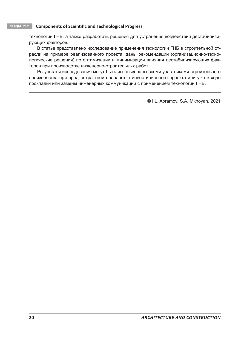технологии ГНБ, а также разработать решения для устранения воздействия дестабилизирующих факторов.

В статье представлено исследование применения технологии ГНБ в строительной отрасли на примере реализованного проекта, даны рекомендации (организационно-технологические решения) по оптимизации и минимизации влияния дестабилизирующих факторов при производстве инженерно-строительных работ.

Результаты исследования могут быть использованы всеми участниками строительного производства при предконтрактной проработке инвестиционного проекта или уже в ходе прокладки или замены инженерных коммуникаций с применением технологии ГНБ.

© I.L. Abramov, S.A. Mkhoyan, 2021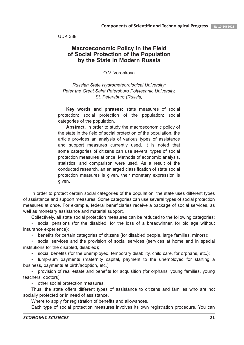UDK 338

### **Macroeconomic Policy in the Field of Social Protection of the Population by the State in Modern Russia**

O.V. Voronkova

*Russian State Hydrometeorological University; Peter the Great Saint Petersburg Polytechnic University, St. Petersburg (Russia)*

**Key words and phrases:** state measures of social protection; social protection of the population; social categories of the population.

**Abstract.** In order to study the macroeconomic policy of the state in the field of social protection of the population, the article provides an analysis of various types of assistance and support measures currently used. It is noted that some categories of citizens can use several types of social protection measures at once. Methods of economic analysis, statistics, and comparison were used. As a result of the conducted research, an enlarged classification of state social protection measures is given, their monetary expression is given.

In order to protect certain social categories of the population, the state uses different types of assistance and support measures. Some categories can use several types of social protection measures at once. For example, federal beneficiaries receive a package of social services, as well as monetary assistance and material support.

Collectively, all state social protection measures can be reduced to the following categories:

• social pensions (for the disabled, for the loss of a breadwinner, for old age without insurance experience);

• benefits for certain categories of citizens (for disabled people, large families, minors);

• social services and the provision of social services (services at home and in special institutions for the disabled, disabled);

• social benefits (for the unemployed, temporary disability, child care, for orphans, etc.);

• lump-sum payments (maternity capital, payment to the unemployed for starting a business, payments at birth/adoption, etc.);

• provision of real estate and benefits for acquisition (for orphans, young families, young teachers, doctors);

• other social protection measures.

Thus, the state offers different types of assistance to citizens and families who are not socially protected or in need of assistance.

Where to apply for registration of benefits and allowances.

Each type of social protection measures involves its own registration procedure. You can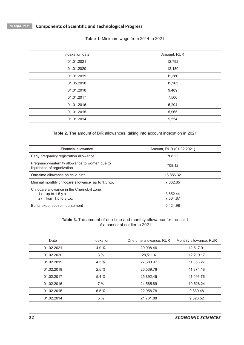| Indexation date | Amount, RUR |  |
|-----------------|-------------|--|
| 01.01.2021      | 12,792      |  |
| 01.01.2020      | 12,130      |  |
| 01.01.2019      | 11,280      |  |
| 01.05.2018      | 11,163      |  |
| 01.01.2018      | 9,489       |  |
| 01.01.2017      | 7,500       |  |
| 01.01.2016      | 5,204       |  |
| 01.01.2015      | 5,965       |  |
| 01.01.2014      | 5,554       |  |

**Table 1.** Minimum wage from 2014 to 2021

**Table 2.** The amount of BiR allowances, taking into account indexation in 2021

| Financial allowance                                                                                 | Amount, RUR (01.02.2021) |  |  |
|-----------------------------------------------------------------------------------------------------|--------------------------|--|--|
| Early pregnancy registration allowance                                                              | 708.23                   |  |  |
| Pregnancy-maternity allowance to women due to<br>liquidation of organization                        | 708.12                   |  |  |
| One-time allowance on child birth                                                                   | 18.886.32                |  |  |
| Minimal monthly childcare allowance up to 1.5 y.o.                                                  | 7.082.85                 |  |  |
| Childcare allowance in the Chernobyl zone<br>up to $1.5$ y.o.<br>1)<br>2)<br>from $1.5$ to $3$ y.o. | 3.652.44<br>7.304.87     |  |  |
| Burial expenses reimpursement                                                                       | 6.424.98                 |  |  |

**Table 3.** The amount of one-time and monthly allowance for the child of a conscript soldier in 2021

| Date       | Indexation | One-time allowance, RUR | Monthly allowance, RUR |
|------------|------------|-------------------------|------------------------|
| 01.02.2021 | 4.9%       | 29,908.46               | 12,817.91              |
| 01.02.2020 | 3%         | 28,511.4                | 12,219.17              |
| 01.02.2019 | $4.3\%$    | 27.680.97               | 11,863.27              |
| 01.02.2018 | 2.5%       | 26,539.76               | 11,374.18              |
| 01.02.2017 | 5.4%       | 25,892.45               | 11,096.76              |
| 01.02.2016 | 7%         | 24.565.89               | 10.528.24              |
| 01.02.2015 | 5.5%       | 22.958.78               | 9,839.48               |
| 01.02.2014 | 5 %        | 21,761.88               | 9,326.52               |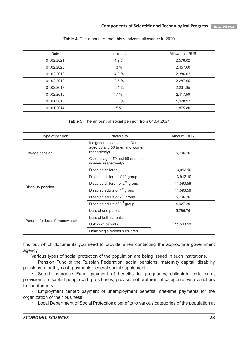| Date       | Indexation | Allowance, RUR |
|------------|------------|----------------|
| 01.02.2021 | 4.9%       | 2,578.02       |
| 01.02.2020 | 3%         | 2,457.60       |
| 01.02.2019 | $4.3\%$    | 2,386.02       |
| 01.02.2018 | 2.5%       | 2,287.65       |
| 01.02.2017 | 5.4%       | 2,231.85       |
| 01.02.2016 | 7%         | 2,117.50       |
| 01.01.2015 | 5.5%       | 1,978.97       |
| 01.01.2014 | 5 %        | 1,875.80       |

#### **Table 4.** The amount of monthly survivor's allowance in 2020

#### **Table 5.** The amount of social pension from 01.04.2021

| Type of pension                 | Payable to                                                                        | Amount, RUR |  |
|---------------------------------|-----------------------------------------------------------------------------------|-------------|--|
| Old-age pension                 | Indigenous people of the North<br>aged 55 and 50 (men and women,<br>respectively) | 5,796.76    |  |
|                                 | Citizens aged 70 and 65 (men and<br>women, respectively)                          |             |  |
|                                 | Disabled children                                                                 | 13,912.10   |  |
|                                 | Disabled children of 1 <sup>st</sup> group                                        | 13,912.10   |  |
|                                 | Disabled children of 2 <sup>nd</sup> group                                        | 11,593.58   |  |
| Disability pension              | Disabled adults of 1 <sup>st</sup> group                                          | 11,593.58   |  |
|                                 | Disabled adults of $2^{nd}$ group                                                 | 5,796.76    |  |
|                                 | Disabled adults of 3 <sup>rd</sup> group                                          | 4,927.29    |  |
|                                 | Loss of one parent                                                                | 5,796.76    |  |
| Pension for loss of breadwinner | Loss of both parents                                                              |             |  |
|                                 | Unknown parents                                                                   | 11,593.58   |  |
|                                 | Dead single mother's children                                                     |             |  |

find out which documents you need to provide when contacting the appropriate government agency.

Various types of social protection of the population are being issued in such institutions.

• Pension Fund of the Russian Federation: social pensions, maternity capital, disability pensions, monthly cash payments, federal social supplement.

• Social Insurance Fund: payment of benefits for pregnancy, childbirth, child care, provision of disabled people with prostheses, provision of preferential categories with vouchers to sanatoriums.

• Employment center: payment of unemployment benefits, one-time payments for the organization of their business.

• Local Department of Social Protection): benefits to various categories of the population at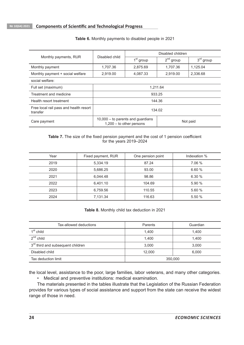|                                                    | Disabled child                                                                | Disabled children     |                |             |  |
|----------------------------------------------------|-------------------------------------------------------------------------------|-----------------------|----------------|-------------|--|
| Monthly payments, RUR                              |                                                                               | 1 <sup>st</sup> group | $2^{nd}$ group | $3rd$ group |  |
| Monthly payment                                    | 1.707.36                                                                      | 2.875.69              | 1.707.36       | 1.125.04    |  |
| Monthly payment + social welfare                   | 2,919.00                                                                      | 4,087.33              | 2,919.00       | 2,336.68    |  |
| social welfare:                                    |                                                                               |                       |                |             |  |
| Full set (maximum)                                 | 1.211.64                                                                      |                       |                |             |  |
| Treatment and medicine                             | 933.25                                                                        |                       |                |             |  |
| Health resort treatment                            | 144.36                                                                        |                       |                |             |  |
| Free local rail pass and health resort<br>transfer | 134.02                                                                        |                       |                |             |  |
| Care payment                                       | $10,000 -$ to parents and guardians<br>Not paid<br>$1,200 -$ to other persons |                       |                |             |  |

#### **Table 6.** Monthly payments to disabled people in 2021

#### **Table 7.** The size of the fixed pension payment and the cost of 1 pension coefficient for the years 2019–2024

| Year | Fixed payment, RUR | One pension point | Indexation % |
|------|--------------------|-------------------|--------------|
| 2019 | 5,334.19           | 87.24             | 7.06 %       |
| 2020 | 5,686.25           | 93.00             | 6.60%        |
| 2021 | 6.044.48           | 98.86             | 6.30%        |
| 2022 | 6,401.10           | 104.69            | 5.90%        |
| 2023 | 6,759.56           | 110.55            | 5.60%        |
| 2024 | 7,131.34           | 116.63            | 5.50 %       |

#### **Table 8.** Monthly child tax deduction in 2021

| Tax-allowed deductions                        | Parents | Guardian |
|-----------------------------------------------|---------|----------|
| $1st$ child                                   | 1.400   | 1,400    |
| $2nd$ child                                   | 1.400   | 1.400    |
| 3 <sup>rd</sup> third and subsequent children | 3,000   | 3,000    |
| Disabled child                                | 12,000  | 6,000    |
| Tax deduction limit                           | 350,000 |          |

the local level, assistance to the poor, large families, labor veterans, and many other categories.

• Medical and preventive institutions: medical examination.

The materials presented in the tables illustrate that the Legislation of the Russian Federation provides for various types of social assistance and support from the state can receive the widest range of those in need.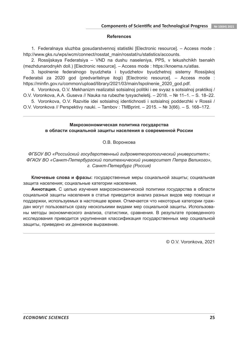#### **References**

1. Federalnaya sluzhba gosudarstvennoj statistiki [Electronic resource]. – Access mode : http://www.gks.ru/wps/wcm/connect/rosstat\_main/rosstat/ru/statistics/accounts.

2. Rossijskaya Federatsiya – VND na dushu naseleniya, PPS, v tekushchikh tsenakh (mezhdunarodnykh doll.) [Electronic resource]. – Access mode : https://knoema.ru/atlas.

3. Ispolnenie federalnogo byudzheta i byudzhetov byudzhetnoj sistemy Rossijskoj Federatsii za 2020 god (predvaritelnye itogi) [Electronic resource]. – Access mode : https://minfin.gov.ru/common/upload/library/2021/03/main/Ispolnenie\_2020\_god.pdf.

4. Voronkova, O.V. Mekhanizm realizatsii sotsialnoj politiki i ee svyaz s sotsialnoj praktikoj / O.V. Voronkova, A.A. Guseva // Nauka na rubezhe tysyacheletij. – 2018. – № 11–1. – S. 18–22.

5. Voronkova, O.V. Razvitie idei sotsialnoj identichnosti i sotsialnoj podderzhki v Rossii / O.V. Voronkova // Perspektivy nauki. – Tambov : TMBprint. – 2015. – № 3(66). – S. 168–172.

#### **Макроэкономическая политика государства в области социальной защиты населения в современной России**

О.В. Воронкова

*ФГБОУ ВО «Российский государственный гидрометеорологический университет»; ФГАОУ ВО «Санкт-Петербургский политехнический университет Петра Великого», г. Санкт-Петербург (Россия)*

**Ключевые слова и фразы:** государственные меры социальной защиты; социальная защита населения; социальные категории населения.

**Аннотация.** С целью изучения макроэкономической политики государства в области социальной защиты населения в статье приводится анализ разных видов мер помощи и поддержки, используемых в настоящее время. Отмечается что некоторые категории граждан могут пользоваться сразу несколькими видами мер социальной защиты. Использованы методы экономического анализа, статистики, сравнения. В результате проведенного исследования приводится укрупненная классификация государственных мер социальной защиты, приведено их денежное выражение.

© O.V. Voronkova, 2021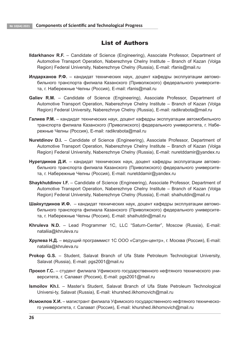## List of Authors

- **Ildarkhanov R.F.** Candidate of Science (Engineering), Associate Professor, Department of Automotive Transport Operation, Naberezhnye Chelny Institute – Branch of Kazan (Volga Region) Federal University, Naberezhnye Chelny (Russia), E-mail: rfanis@mail.ru
- **Илдарханов Р.Ф.** кандидат технических наук, доцент кафедры эксплуатации автомобильного транспорта филиала Казанского (Приволжского) федерального университета, г. Набережные Челны (Россия), E-mail: rfanis@mail.ru
- **Galiev R.M.** Candidate of Science (Engineering), Associate Professor, Department of Automotive Transport Operation, Naberezhnye Chelny Institute – Branch of Kazan (Volga Region) Federal University, Naberezhnye Chelny (Russia), E-mail: radikrabota@mail.ru
- **Галиев Р.М.** кандидат технических наук, доцент кафедры эксплуатации автомобильного транспорта филиала Казанского (Приволжского) федерального университета, г. Набережные Челны (Россия), E-mail: radikrabota@mail.ru
- **Nuretdinov D.I.** Candidate of Science (Engineering), Associate Professor, Department of Automotive Transport Operation, Naberezhnye Chelny Institute – Branch of Kazan (Volga Region) Federal University, Naberezhnye Chelny (Russia), E-mail: nuretddamir@yandex.ru
- **Нуретдинов Д.И.** кандидат технических наук, доцент кафедры эксплуатации автомобильного транспорта филиала Казанского (Приволжского) федерального университета, г. Набережные Челны (Россия), E-mail: nuretddamir@yandex.ru
- **Shaykhutdinov I.F.** Candidate of Science (Engineering), Associate Professor, Department of Automotive Transport Operation, Naberezhnye Chelny Institute – Branch of Kazan (Volga Region) Federal University, Naberezhnye Chelny (Russia), E-mail: shaihutdin@mail.ru
- **Шайхутдинов И.Ф.**  кандидат технических наук, доцент кафедры эксплуатации автомобильного транспорта филиала Казанского (Приволжского) федерального университета, г. Набережные Челны (Россия), E-mail: shaihutdin@mail.ru
- **Khruleva N.D.** Lead Programmer 1C, LLC "Saturn-Center", Moscow (Russia), E-mail: nataliia@khruleva.ru
- **Хрулева Н.Д.** ведущий программист 1С ООО «Сатурн-центр», г. Москва (Россия), E-mail: nataliia@khruleva.ru
- **Prokop G.S.** Student, Salavat Branch of Ufa State Petroleum Technological University, Salavat (Russia), E-mail: pgs2001@mail.ru
- **Прокоп Г.С.**  студент филиала Уфимского государственного нефтяного технического университета, г. Салават (Россия), E-mail: pgs2001@mail.ru
- **Ismoilov Kh.I.** Master's Student, Salavat Branch of Ufa State Petroleum Technological Universi-ty, Salavat (Russia), E-mail: khurshed.ilkhomovich@mail.ru
- **Исмоилов Х.И.** магистрант филиала Уфимского государственного нефтяного технического университета, г. Салават (Россия), E-mail: khurshed.ilkhomovich@mail.ru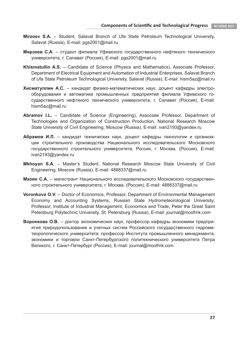- **Mirzoev S.A.** Student, Salavat Branch of Ufa State Petroleum Technological University, Salavat (Russia), E-mail: pgs2001@mail.ru
- **Мирзоев С.А.** студент филиала Уфимского государственного нефтяного технического университета, г. Салават (Россия), E-mail: pgs2001@mail.ru
- **Khismatullin A.S.** Candidate of Science (Physics and Mathematics), Associate Professor, Department of Electrical Equipment and Automation of Industrial Enterprises, Salavat Branch of Ufa State Petroleum Technological University, Salavat (Russia), E-mail: hism5az@mail.ru
- **Хисматуллин A.C.**  кандидат физико-математических наук, доцент кафедры электрооборудования и автоматики промышленных предприятий филиала Уфимского государственного нефтяного технического университета, г. Салават (Россия), E-mail: hism5az@mail.ru
- **Abramov I.L.** Candidate of Science (Engineering), Associate Professor, Department of Technologies and Organization of Construction Production, National Research Moscow State University of Civil Engineering, Moscow (Russia), E-mail: ivan2193@yandex.ru
- **Абрамов И.Л.** кандидат технических наук, доцент кафедры технологии и организации строительного производства Национального исследовательского Московского государственного строительного университета, Россия, г. Москва, (Россия), E-mail: ivan2193@yandex.ru
- **Mkhoyan S.A.** Master's Student, National Research Moscow State University of Civil Engineering, Moscow (Russia), E-mail: 4888337@mail.ru
- **Мхоян С.А.**  магистрант Национального исследовательского Московского государственного строительного университета, г. Москва, (Россия), E-mail: 4888337@mail.ru
- **Voronkova O.V.** Doctor of Economics, Professor, Department of Environmental Management Economy and Accounting Systems, Russian State Hydrometeorological University; Professor, Institute of Industrial Management, Economics and Trade, Peter the Great Saint Petersburg Polytechnic University, St. Petersburg (Russia), E-mail: journal@moofrnk.com
- **Воронкова О.В.** доктор экономических наук, профессор кафедры экономики предприятия природопользования и учетных систем Российского государственного гидрометеорологического университета; профессор Института промышленного менеджмента, экономики и торговли Санкт-Петербургского политехнического университета Петра Великого, г. Санкт-Петербург (Россия), E-mail: journal@moofrnk.com